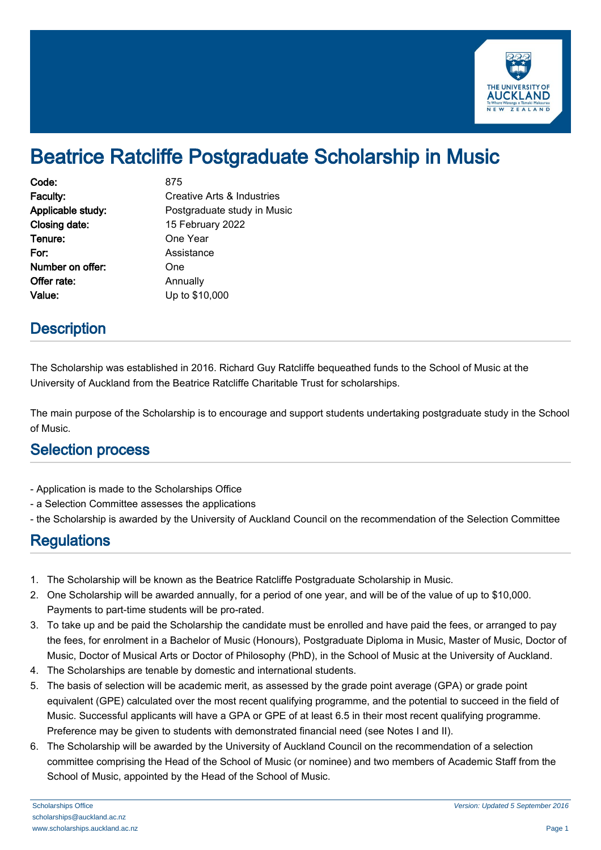

# Beatrice Ratcliffe Postgraduate Scholarship in Music

| Code:             | 875                         |
|-------------------|-----------------------------|
| Faculty:          | Creative Arts & Industries  |
| Applicable study: | Postgraduate study in Music |
| Closing date:     | 15 February 2022            |
| Tenure:           | One Year                    |
| For:              | Assistance                  |
| Number on offer:  | One                         |
| Offer rate:       | Annually                    |
| Value:            | Up to \$10,000              |

### **Description**

The Scholarship was established in 2016. Richard Guy Ratcliffe bequeathed funds to the School of Music at the University of Auckland from the Beatrice Ratcliffe Charitable Trust for scholarships.

The main purpose of the Scholarship is to encourage and support students undertaking postgraduate study in the School of Music.

#### Selection process

- Application is made to the Scholarships Office
- a Selection Committee assesses the applications
- the Scholarship is awarded by the University of Auckland Council on the recommendation of the Selection Committee

## **Regulations**

- 1. The Scholarship will be known as the Beatrice Ratcliffe Postgraduate Scholarship in Music.
- 2. One Scholarship will be awarded annually, for a period of one year, and will be of the value of up to \$10,000. Payments to part-time students will be pro-rated.
- 3. To take up and be paid the Scholarship the candidate must be enrolled and have paid the fees, or arranged to pay the fees, for enrolment in a Bachelor of Music (Honours), Postgraduate Diploma in Music, Master of Music, Doctor of Music, Doctor of Musical Arts or Doctor of Philosophy (PhD), in the School of Music at the University of Auckland.
- 4. The Scholarships are tenable by domestic and international students.
- 5. The basis of selection will be academic merit, as assessed by the grade point average (GPA) or grade point equivalent (GPE) calculated over the most recent qualifying programme, and the potential to succeed in the field of Music. Successful applicants will have a GPA or GPE of at least 6.5 in their most recent qualifying programme. Preference may be given to students with demonstrated financial need (see Notes I and II).
- 6. The Scholarship will be awarded by the University of Auckland Council on the recommendation of a selection committee comprising the Head of the School of Music (or nominee) and two members of Academic Staff from the School of Music, appointed by the Head of the School of Music.